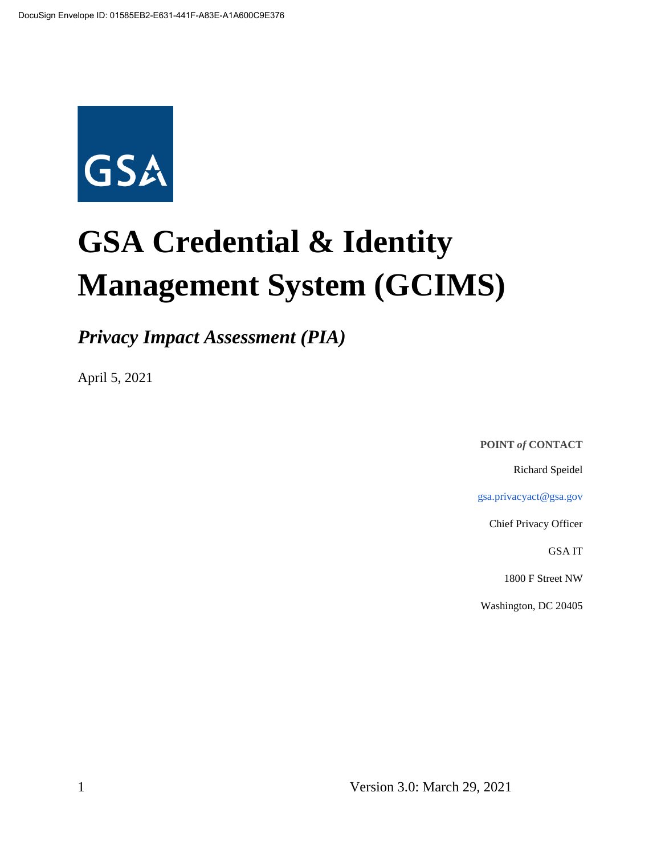

# **GSA Credential & Identity Management System (GCIMS)**

*Privacy Impact Assessment (PIA)*

April 5, 2021

**POINT** *of* **CONTACT**

Richard Speidel

gsa.privacyact@gsa.gov

Chief Privacy Officer

GSA IT

1800 F Street NW

Washington, DC 20405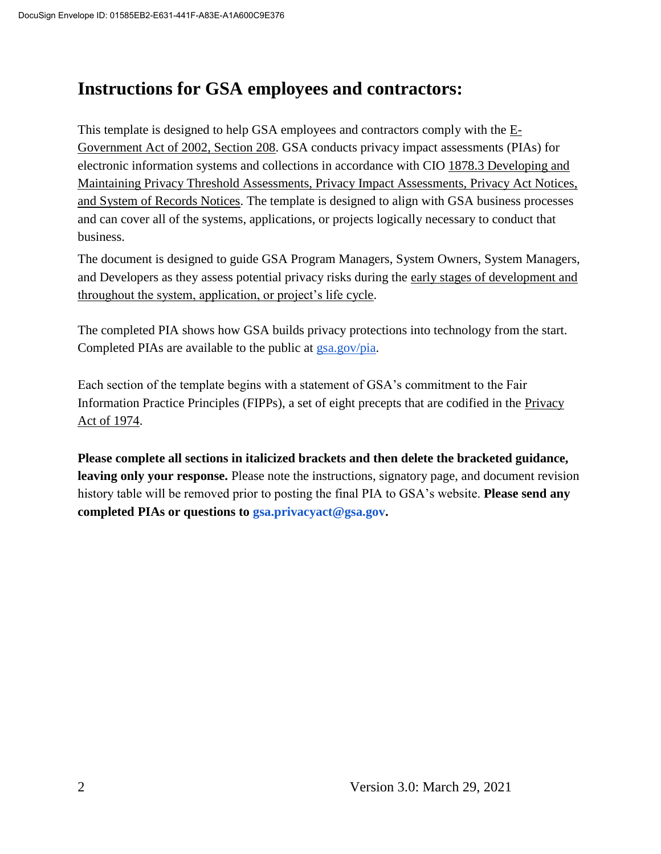# **Instructions for GSA employees and contractors:**

This template is designed to help GSA employees and contractors comply with the  $E$ -Government Act of 2002, Section 208. GSA conducts privacy impact assessments (PIAs) for electronic information systems and collections in accordance with CIO 1878.3 Developing and Maintaining Privacy Threshold Assessments, Privacy Impact Assessments, Privacy Act Notices, and System of Records Notices. The template is designed to align with GSA business processes and can cover all of the systems, applications, or projects logically necessary to conduct that business.

The document is designed to guide GSA Program Managers, System Owners, System Managers, and Developers as they assess potential privacy risks during the early stages of development and throughout the system, application, or project's life cycle.

The completed PIA shows how GSA builds privacy protections into technology from the start. Completed PIAs are available to the public at gsa.gov/pia.

Each section of the template begins with a statement of GSA's commitment to the Fair Information Practice Principles (FIPPs), a set of eight precepts that are codified in the Privacy Act of 1974.

**Please complete all sections in italicized brackets and then delete the bracketed guidance, leaving only your response.** Please note the instructions, signatory page, and document revision history table will be removed prior to posting the final PIA to GSA's website. **Please send any completed PIAs or questions to gsa.privacyact@gsa.gov.**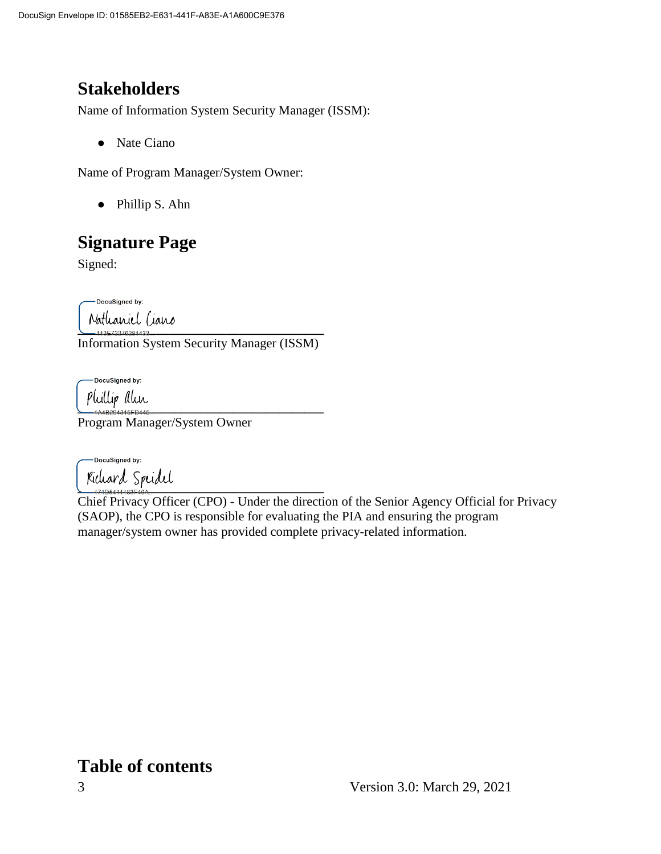# **Stakeholders**

Name of Information System Security Manager (ISSM):

● Nate Ciano

Name of Program Manager/System Owner:

● Phillip S. Ahn

# **Signature Page**

Signed:

DocuSigned by:

Nathaniel Ciano<br>————————————————————

Information System Security Manager (ISSM)

-DocuSigned by:

**\_\_\_\_\_\_\_\_\_\_\_\_\_\_\_\_\_\_\_\_\_\_\_\_\_\_\_\_\_\_\_\_\_\_\_\_\_\_**

Program Manager/System Owner

-DocuSianed by: Richard Spridel

Chief Privacy Officer (CPO) - Under the direction of the Senior Agency Official for Privacy (SAOP), the CPO is responsible for evaluating the PIA and ensuring the program manager/system owner has provided complete privacy-related information.

# **Table of contents**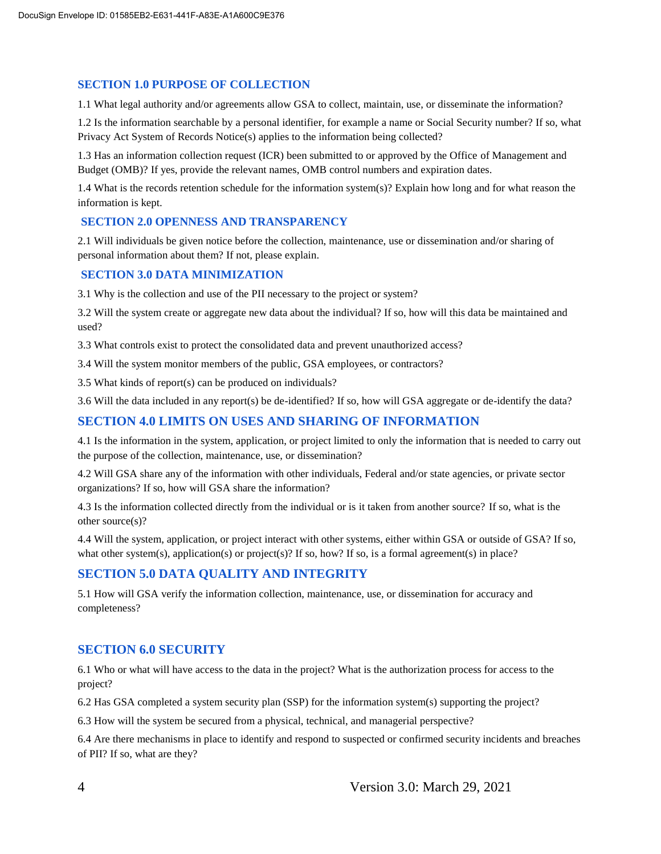#### **SECTION 1.0 PURPOSE OF COLLECTION**

1.1 What legal authority and/or agreements allow GSA to collect, maintain, use, or disseminate the information?

1.2 Is the information searchable by a personal identifier, for example a name or Social Security number? If so, what Privacy Act System of Records Notice(s) applies to the information being collected?

1.3 Has an information collection request (ICR) been submitted to or approved by the Office of Management and Budget (OMB)? If yes, provide the relevant names, OMB control numbers and expiration dates.

1.4 What is the records retention schedule for the information system(s)? Explain how long and for what reason the information is kept.

#### **SECTION 2.0 OPENNESS AND TRANSPARENCY**

2.1 Will individuals be given notice before the collection, maintenance, use or dissemination and/or sharing of personal information about them? If not, please explain.

#### **SECTION 3.0 DATA MINIMIZATION**

3.1 Why is the collection and use of the PII necessary to the project or system?

3.2 Will the system create or aggregate new data about the individual? If so, how will this data be maintained and used?

3.3 What controls exist to protect the consolidated data and prevent unauthorized access?

3.4 Will the system monitor members of the public, GSA employees, or contractors?

3.5 What kinds of report(s) can be produced on individuals?

3.6 Will the data included in any report(s) be de-identified? If so, how will GSA aggregate or de-identify the data?

#### **SECTION 4.0 LIMITS ON USES AND SHARING OF INFORMATION**

4.1 Is the information in the system, application, or project limited to only the information that is needed to carry out the purpose of the collection, maintenance, use, or dissemination?

4.2 Will GSA share any of the information with other individuals, Federal and/or state agencies, or private sector organizations? If so, how will GSA share the information?

4.3 Is the information collected directly from the individual or is it taken from another source? If so, what is the other source(s)?

4.4 Will the system, application, or project interact with other systems, either within GSA or outside of GSA? If so, what other system(s), application(s) or project(s)? If so, how? If so, is a formal agreement(s) in place?

#### **SECTION 5.0 DATA QUALITY AND INTEGRITY**

5.1 How will GSA verify the information collection, maintenance, use, or dissemination for accuracy and completeness?

#### **SECTION 6.0 SECURITY**

6.1 Who or what will have access to the data in the project? What is the authorization process for access to the project?

6.2 Has GSA completed a system security plan (SSP) for the information system(s) supporting the project?

6.3 How will the system be secured from a physical, technical, and managerial perspective?

6.4 Are there mechanisms in place to identify and respond to suspected or confirmed security incidents and breaches of PII? If so, what are they?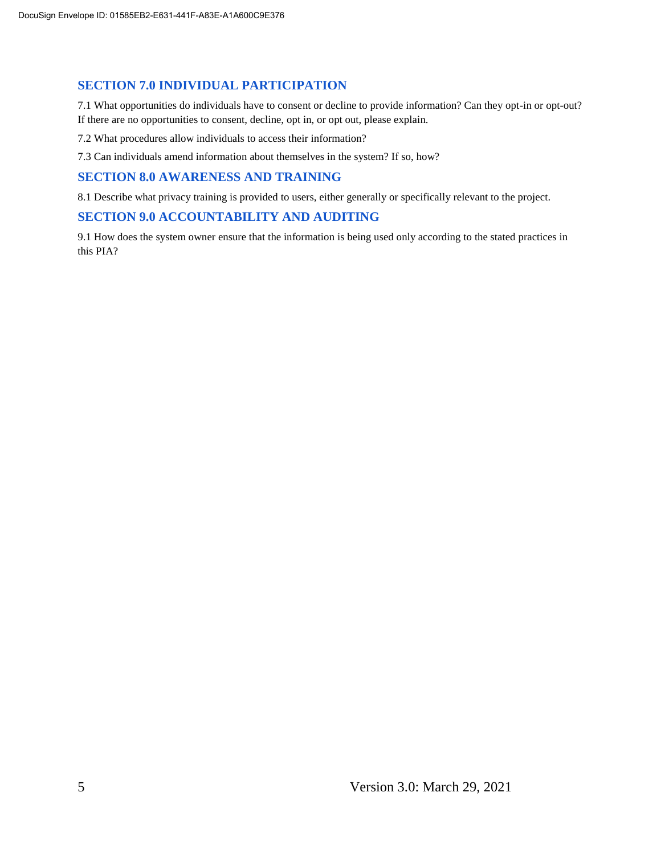#### **SECTION 7.0 INDIVIDUAL PARTICIPATION**

7.1 What opportunities do individuals have to consent or decline to provide information? Can they opt-in or opt-out? If there are no opportunities to consent, decline, opt in, or opt out, please explain.

7.2 What procedures allow individuals to access their information?

7.3 Can individuals amend information about themselves in the system? If so, how?

#### **SECTION 8.0 AWARENESS AND TRAINING**

8.1 Describe what privacy training is provided to users, either generally or specifically relevant to the project.

#### **SECTION 9.0 ACCOUNTABILITY AND AUDITING**

9.1 How does the system owner ensure that the information is being used only according to the stated practices in this PIA?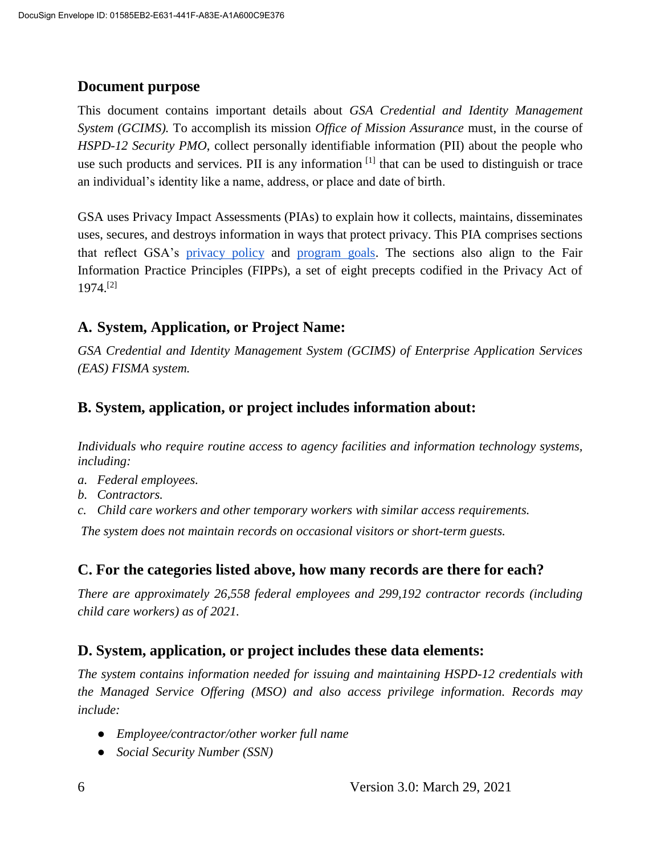#### **Document purpose**

This document contains important details about *GSA Credential and Identity Management System (GCIMS).* To accomplish its mission *Office of Mission Assurance* must, in the course of *HSPD-12 Security PMO*, collect personally identifiable information (PII) about the people who use such products and services. PII is any information  $[1]$  that can be used to distinguish or trace an individual's identity like a name, address, or place and date of birth.

GSA uses Privacy Impact Assessments (PIAs) to explain how it collects, maintains, disseminates uses, secures, and destroys information in ways that protect privacy. This PIA comprises sections that reflect GSA's privacy policy and program goals. The sections also align to the Fair Information Practice Principles (FIPPs), a set of eight precepts codified in the Privacy Act of 1974.[2]

#### **A. System, Application, or Project Name:**

*GSA Credential and Identity Management System (GCIMS) of Enterprise Application Services (EAS) FISMA system.*

#### **B. System, application, or project includes information about:**

*Individuals who require routine access to agency facilities and information technology systems, including:*

- *a. Federal employees.*
- *b. Contractors.*
- *c. Child care workers and other temporary workers with similar access requirements.*

*The system does not maintain records on occasional visitors or short-term guests.*

#### **C. For the categories listed above, how many records are there for each?**

*There are approximately 26,558 federal employees and 299,192 contractor records (including child care workers) as of 2021.*

#### **D. System, application, or project includes these data elements:**

*The system contains information needed for issuing and maintaining HSPD-12 credentials with the Managed Service Offering (MSO) and also access privilege information. Records may include:*

- *Employee/contractor/other worker full name*
- *Social Security Number (SSN)*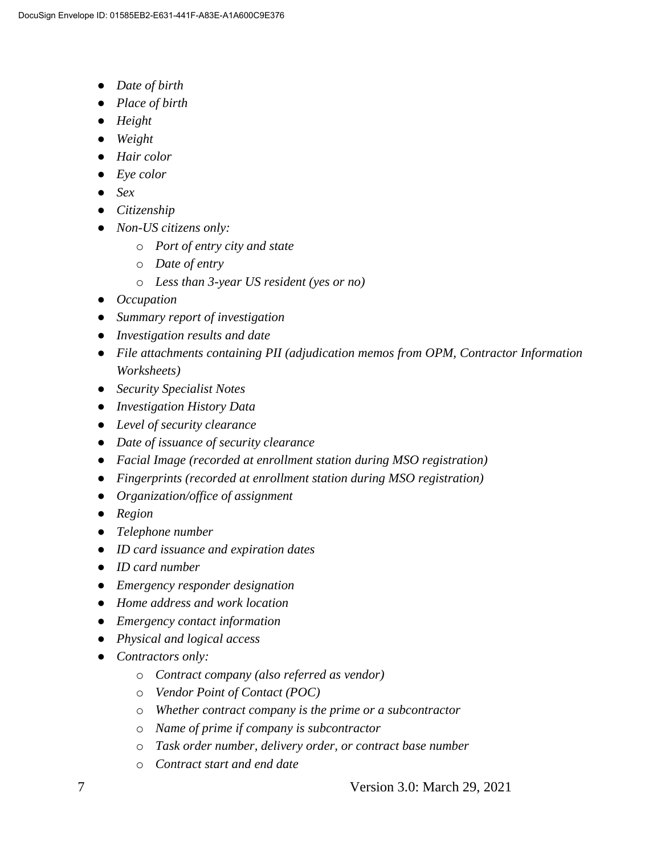- *Date of birth*
- *Place of birth*
- *Height*
- *Weight*
- *Hair color*
- *Eye color*
- *Sex*
- *Citizenship*
- *Non-US citizens only:*
	- o *Port of entry city and state*
	- o *Date of entry*
	- o *Less than 3-year US resident (yes or no)*
- *Occupation*
- *Summary report of investigation*
- *Investigation results and date*
- *File attachments containing PII (adjudication memos from OPM, Contractor Information Worksheets)*
- *Security Specialist Notes*
- *Investigation History Data*
- *Level of security clearance*
- *Date of issuance of security clearance*
- *Facial Image (recorded at enrollment station during MSO registration)*
- *Fingerprints (recorded at enrollment station during MSO registration)*
- *Organization/office of assignment*
- *Region*
- *Telephone number*
- *ID card issuance and expiration dates*
- *ID card number*
- *Emergency responder designation*
- *Home address and work location*
- *Emergency contact information*
- *Physical and logical access*
- *Contractors only:*
	- o *Contract company (also referred as vendor)*
	- o *Vendor Point of Contact (POC)*
	- o *Whether contract company is the prime or a subcontractor*
	- o *Name of prime if company is subcontractor*
	- o *Task order number, delivery order, or contract base number*
	- o *Contract start and end date*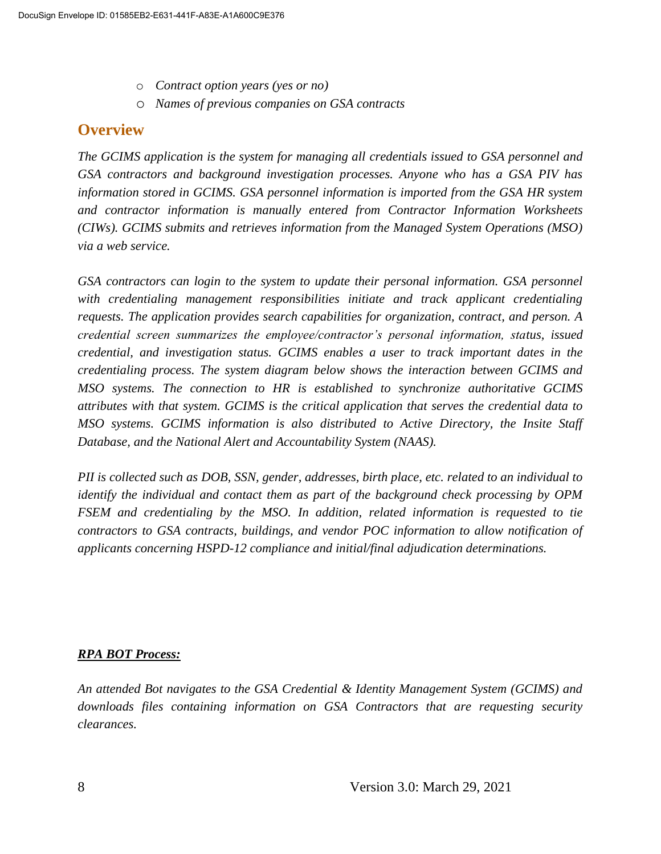- o *Contract option years (yes or no)*
- o *Names of previous companies on GSA contracts*

### **Overview**

*The GCIMS application is the system for managing all credentials issued to GSA personnel and GSA contractors and background investigation processes. Anyone who has a GSA PIV has information stored in GCIMS. GSA personnel information is imported from the GSA HR system and contractor information is manually entered from Contractor Information Worksheets (CIWs). GCIMS submits and retrieves information from the Managed System Operations (MSO) via a web service.*

*GSA contractors can login to the system to update their personal information. GSA personnel with credentialing management responsibilities initiate and track applicant credentialing requests. The application provides search capabilities for organization, contract, and person. A credential screen summarizes the employee/contractor's personal information, status, issued credential, and investigation status. GCIMS enables a user to track important dates in the credentialing process. The system diagram below shows the interaction between GCIMS and MSO systems. The connection to HR is established to synchronize authoritative GCIMS attributes with that system. GCIMS is the critical application that serves the credential data to MSO systems. GCIMS information is also distributed to Active Directory, the Insite Staff Database, and the National Alert and Accountability System (NAAS).*

*PII is collected such as DOB, SSN, gender, addresses, birth place, etc. related to an individual to identify the individual and contact them as part of the background check processing by OPM FSEM and credentialing by the MSO. In addition, related information is requested to tie contractors to GSA contracts, buildings, and vendor POC information to allow notification of applicants concerning HSPD-12 compliance and initial/final adjudication determinations.*

#### *RPA BOT Process:*

*An attended Bot navigates to the GSA Credential & Identity Management System (GCIMS) and*  downloads files containing information on GSA Contractors that are requesting security *clearances.*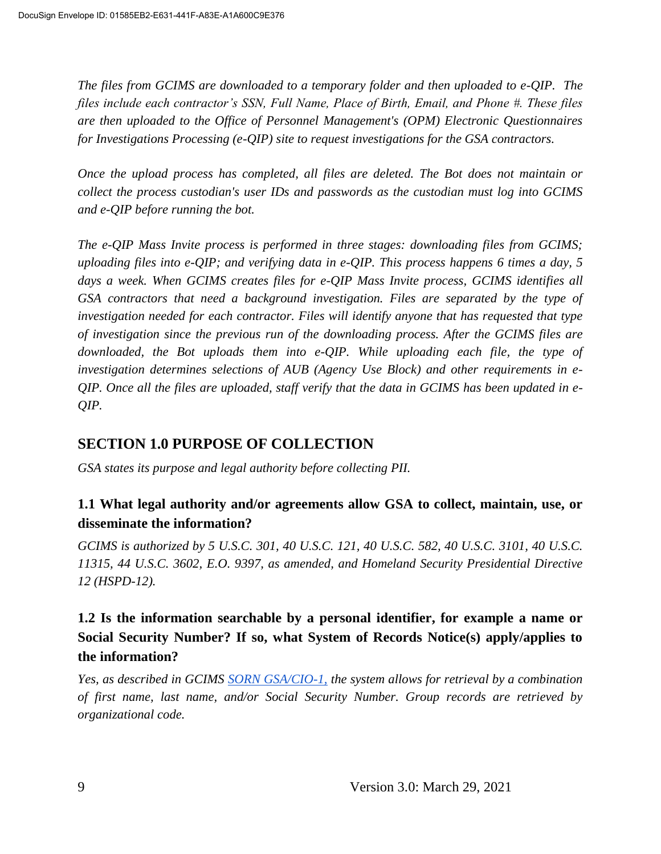*The files from GCIMS are downloaded to a temporary folder and then uploaded to e-QIP. The files include each contractor's SSN, Full Name, Place of Birth, Email, and Phone #. These files are then uploaded to the Office of Personnel Management's (OPM) Electronic Questionnaires for Investigations Processing (e-QIP) site to request investigations for the GSA contractors.* 

*Once the upload process has completed, all files are deleted. The Bot does not maintain or collect the process custodian's user IDs and passwords as the custodian must log into GCIMS and e-QIP before running the bot.*

*The e-QIP Mass Invite process is performed in three stages: downloading files from GCIMS; uploading files into e-QIP; and verifying data in e-QIP. This process happens 6 times a day, 5 days a week. When GCIMS creates files for e-QIP Mass Invite process, GCIMS identifies all GSA contractors that need a background investigation. Files are separated by the type of investigation needed for each contractor. Files will identify anyone that has requested that type of investigation since the previous run of the downloading process. After the GCIMS files are*  downloaded, the Bot uploads them into e-OIP. While uploading each file, the type of *investigation determines selections of AUB (Agency Use Block) and other requirements in e-QIP. Once all the files are uploaded, staff verify that the data in GCIMS has been updated in e-QIP.*

## **SECTION 1.0 PURPOSE OF COLLECTION**

*GSA states its purpose and legal authority before collecting PII.*

#### **1.1 What legal authority and/or agreements allow GSA to collect, maintain, use, or disseminate the information?**

*GCIMS is authorized by 5 U.S.C. 301, 40 U.S.C. 121, 40 U.S.C. 582, 40 U.S.C. 3101, 40 U.S.C. 11315, 44 U.S.C. 3602, E.O. 9397, as amended, and Homeland Security Presidential Directive 12 (HSPD-12).*

## **1.2 Is the information searchable by a personal identifier, for example a name or Social Security Number? If so, what System of Records Notice(s) apply/applies to the information?**

*Yes, as described in GCIMS SORN GSA/CIO-1, the system allows for retrieval by a combination of first name, last name, and/or Social Security Number. Group records are retrieved by organizational code.*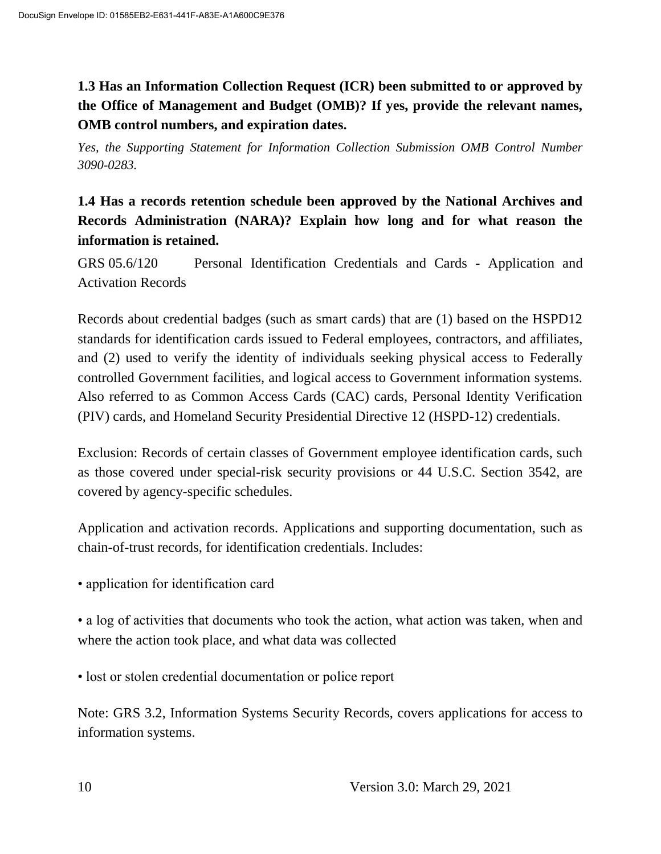## **1.3 Has an Information Collection Request (ICR) been submitted to or approved by the Office of Management and Budget (OMB)? If yes, provide the relevant names, OMB control numbers, and expiration dates.**

*Yes, the Supporting Statement for Information Collection Submission OMB Control Number 3090-0283.*

## **1.4 Has a records retention schedule been approved by the National Archives and Records Administration (NARA)? Explain how long and for what reason the information is retained.**

GRS 05.6/120 Personal Identification Credentials and Cards - Application and Activation Records

Records about credential badges (such as smart cards) that are (1) based on the HSPD12 standards for identification cards issued to Federal employees, contractors, and affiliates, and (2) used to verify the identity of individuals seeking physical access to Federally controlled Government facilities, and logical access to Government information systems. Also referred to as Common Access Cards (CAC) cards, Personal Identity Verification (PIV) cards, and Homeland Security Presidential Directive 12 (HSPD-12) credentials.

Exclusion: Records of certain classes of Government employee identification cards, such as those covered under special-risk security provisions or 44 U.S.C. Section 3542, are covered by agency-specific schedules.

Application and activation records. Applications and supporting documentation, such as chain-of-trust records, for identification credentials. Includes:

• application for identification card

• a log of activities that documents who took the action, what action was taken, when and where the action took place, and what data was collected

• lost or stolen credential documentation or police report

Note: GRS 3.2, Information Systems Security Records, covers applications for access to information systems.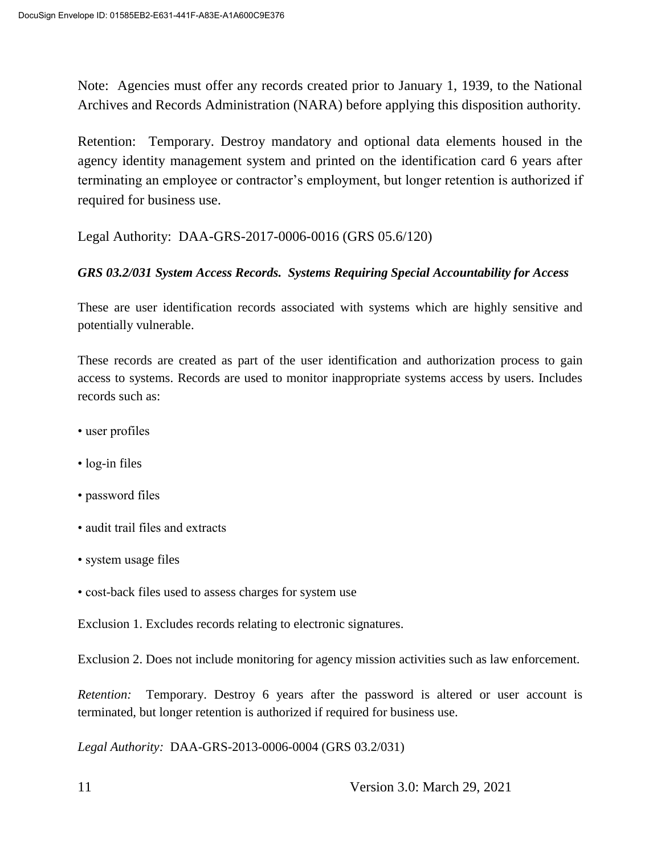Note: Agencies must offer any records created prior to January 1, 1939, to the National Archives and Records Administration (NARA) before applying this disposition authority.

Retention: Temporary. Destroy mandatory and optional data elements housed in the agency identity management system and printed on the identification card 6 years after terminating an employee or contractor's employment, but longer retention is authorized if required for business use.

Legal Authority: DAA-GRS-2017-0006-0016 (GRS 05.6/120)

#### *GRS 03.2/031 System Access Records. Systems Requiring Special Accountability for Access*

These are user identification records associated with systems which are highly sensitive and potentially vulnerable.

These records are created as part of the user identification and authorization process to gain access to systems. Records are used to monitor inappropriate systems access by users. Includes records such as:

- user profiles
- log-in files
- password files
- audit trail files and extracts
- system usage files
- cost-back files used to assess charges for system use

Exclusion 1. Excludes records relating to electronic signatures.

Exclusion 2. Does not include monitoring for agency mission activities such as law enforcement.

*Retention:* Temporary. Destroy 6 years after the password is altered or user account is terminated, but longer retention is authorized if required for business use.

*Legal Authority:* DAA-GRS-2013-0006-0004 (GRS 03.2/031)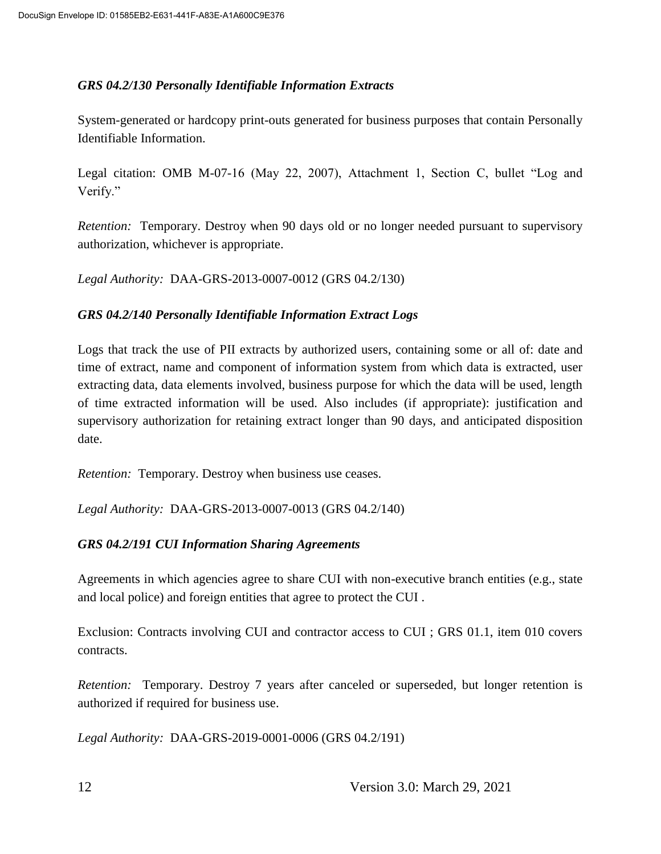#### *GRS 04.2/130 Personally Identifiable Information Extracts*

System-generated or hardcopy print-outs generated for business purposes that contain Personally Identifiable Information.

Legal citation: OMB M-07-16 (May 22, 2007), Attachment 1, Section C, bullet "Log and Verify."

*Retention:* Temporary. Destroy when 90 days old or no longer needed pursuant to supervisory authorization, whichever is appropriate.

*Legal Authority:* DAA-GRS-2013-0007-0012 (GRS 04.2/130)

#### *GRS 04.2/140 Personally Identifiable Information Extract Logs*

Logs that track the use of PII extracts by authorized users, containing some or all of: date and time of extract, name and component of information system from which data is extracted, user extracting data, data elements involved, business purpose for which the data will be used, length of time extracted information will be used. Also includes (if appropriate): justification and supervisory authorization for retaining extract longer than 90 days, and anticipated disposition date.

*Retention:* Temporary. Destroy when business use ceases.

*Legal Authority:* DAA-GRS-2013-0007-0013 (GRS 04.2/140)

#### *GRS 04.2/191 CUI Information Sharing Agreements*

Agreements in which agencies agree to share CUI with non-executive branch entities (e.g., state and local police) and foreign entities that agree to protect the CUI .

Exclusion: Contracts involving CUI and contractor access to CUI ; GRS 01.1, item 010 covers contracts.

*Retention:* Temporary. Destroy 7 years after canceled or superseded, but longer retention is authorized if required for business use.

*Legal Authority:* DAA-GRS-2019-0001-0006 (GRS 04.2/191)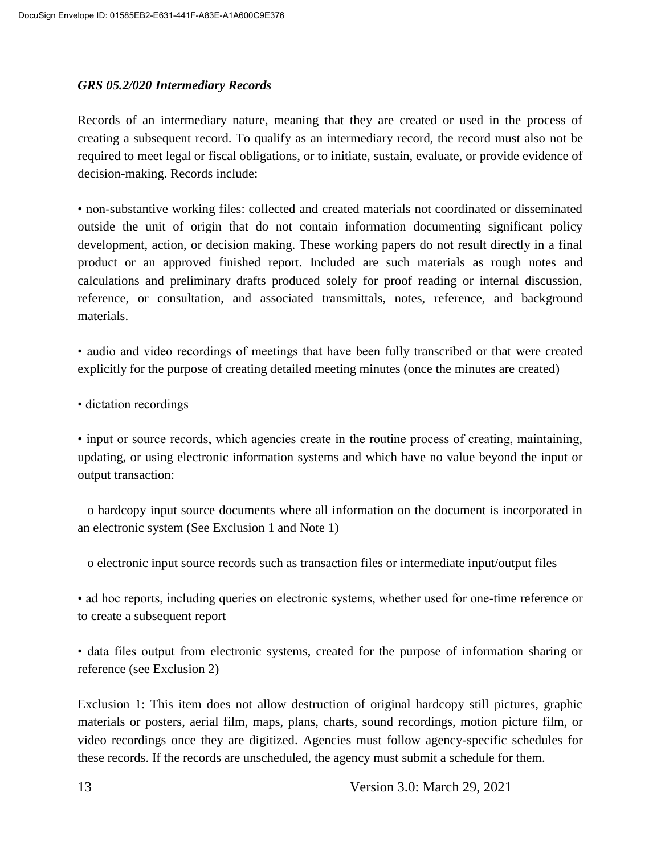#### *GRS 05.2/020 Intermediary Records*

Records of an intermediary nature, meaning that they are created or used in the process of creating a subsequent record. To qualify as an intermediary record, the record must also not be required to meet legal or fiscal obligations, or to initiate, sustain, evaluate, or provide evidence of decision-making. Records include:

• non-substantive working files: collected and created materials not coordinated or disseminated outside the unit of origin that do not contain information documenting significant policy development, action, or decision making. These working papers do not result directly in a final product or an approved finished report. Included are such materials as rough notes and calculations and preliminary drafts produced solely for proof reading or internal discussion, reference, or consultation, and associated transmittals, notes, reference, and background materials.

• audio and video recordings of meetings that have been fully transcribed or that were created explicitly for the purpose of creating detailed meeting minutes (once the minutes are created)

• dictation recordings

• input or source records, which agencies create in the routine process of creating, maintaining, updating, or using electronic information systems and which have no value beyond the input or output transaction:

 o hardcopy input source documents where all information on the document is incorporated in an electronic system (See Exclusion 1 and Note 1)

o electronic input source records such as transaction files or intermediate input/output files

• ad hoc reports, including queries on electronic systems, whether used for one-time reference or to create a subsequent report

• data files output from electronic systems, created for the purpose of information sharing or reference (see Exclusion 2)

Exclusion 1: This item does not allow destruction of original hardcopy still pictures, graphic materials or posters, aerial film, maps, plans, charts, sound recordings, motion picture film, or video recordings once they are digitized. Agencies must follow agency-specific schedules for these records. If the records are unscheduled, the agency must submit a schedule for them.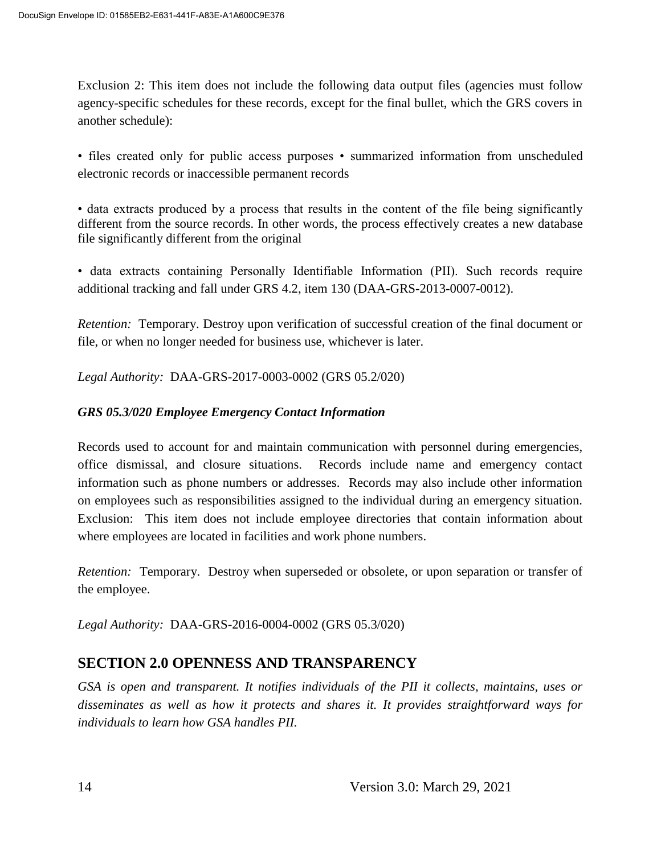Exclusion 2: This item does not include the following data output files (agencies must follow agency-specific schedules for these records, except for the final bullet, which the GRS covers in another schedule):

• files created only for public access purposes • summarized information from unscheduled electronic records or inaccessible permanent records

• data extracts produced by a process that results in the content of the file being significantly different from the source records. In other words, the process effectively creates a new database file significantly different from the original

• data extracts containing Personally Identifiable Information (PII). Such records require additional tracking and fall under GRS 4.2, item 130 (DAA-GRS-2013-0007-0012).

*Retention:* Temporary. Destroy upon verification of successful creation of the final document or file, or when no longer needed for business use, whichever is later.

*Legal Authority:* DAA-GRS-2017-0003-0002 (GRS 05.2/020)

#### *GRS 05.3/020 Employee Emergency Contact Information*

Records used to account for and maintain communication with personnel during emergencies, office dismissal, and closure situations. Records include name and emergency contact information such as phone numbers or addresses. Records may also include other information on employees such as responsibilities assigned to the individual during an emergency situation. Exclusion: This item does not include employee directories that contain information about where employees are located in facilities and work phone numbers.

*Retention:* Temporary. Destroy when superseded or obsolete, or upon separation or transfer of the employee.

*Legal Authority:* DAA-GRS-2016-0004-0002 (GRS 05.3/020)

## **SECTION 2.0 OPENNESS AND TRANSPARENCY**

*GSA is open and transparent. It notifies individuals of the PII it collects, maintains, uses or disseminates as well as how it protects and shares it. It provides straightforward ways for individuals to learn how GSA handles PII.*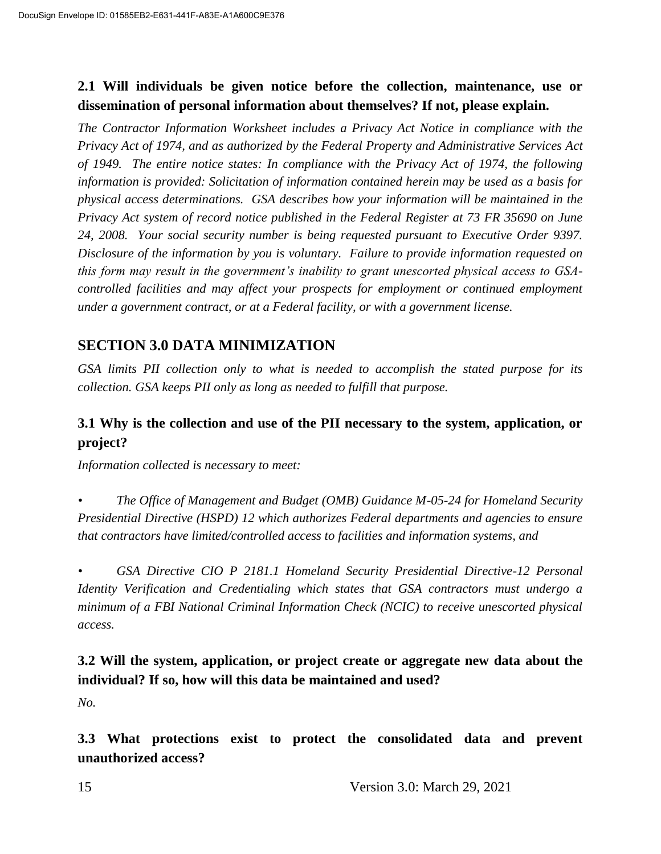#### **2.1 Will individuals be given notice before the collection, maintenance, use or dissemination of personal information about themselves? If not, please explain.**

*The Contractor Information Worksheet includes a Privacy Act Notice in compliance with the Privacy Act of 1974, and as authorized by the Federal Property and Administrative Services Act of 1949. The entire notice states: In compliance with the Privacy Act of 1974, the following information is provided: Solicitation of information contained herein may be used as a basis for physical access determinations. GSA describes how your information will be maintained in the Privacy Act system of record notice published in the Federal Register at 73 FR 35690 on June 24, 2008. Your social security number is being requested pursuant to Executive Order 9397. Disclosure of the information by you is voluntary. Failure to provide information requested on this form may result in the government's inability to grant unescorted physical access to GSAcontrolled facilities and may affect your prospects for employment or continued employment under a government contract, or at a Federal facility, or with a government license.*

## **SECTION 3.0 DATA MINIMIZATION**

*GSA limits PII collection only to what is needed to accomplish the stated purpose for its collection. GSA keeps PII only as long as needed to fulfill that purpose.*

## **3.1 Why is the collection and use of the PII necessary to the system, application, or project?**

*Information collected is necessary to meet:*

*• The Office of Management and Budget (OMB) Guidance M-05-24 for Homeland Security Presidential Directive (HSPD) 12 which authorizes Federal departments and agencies to ensure that contractors have limited/controlled access to facilities and information systems, and* 

*• GSA Directive CIO P 2181.1 Homeland Security Presidential Directive-12 Personal Identity Verification and Credentialing which states that GSA contractors must undergo a minimum of a FBI National Criminal Information Check (NCIC) to receive unescorted physical access.*

## **3.2 Will the system, application, or project create or aggregate new data about the individual? If so, how will this data be maintained and used?**

*No.*

**3.3 What protections exist to protect the consolidated data and prevent unauthorized access?**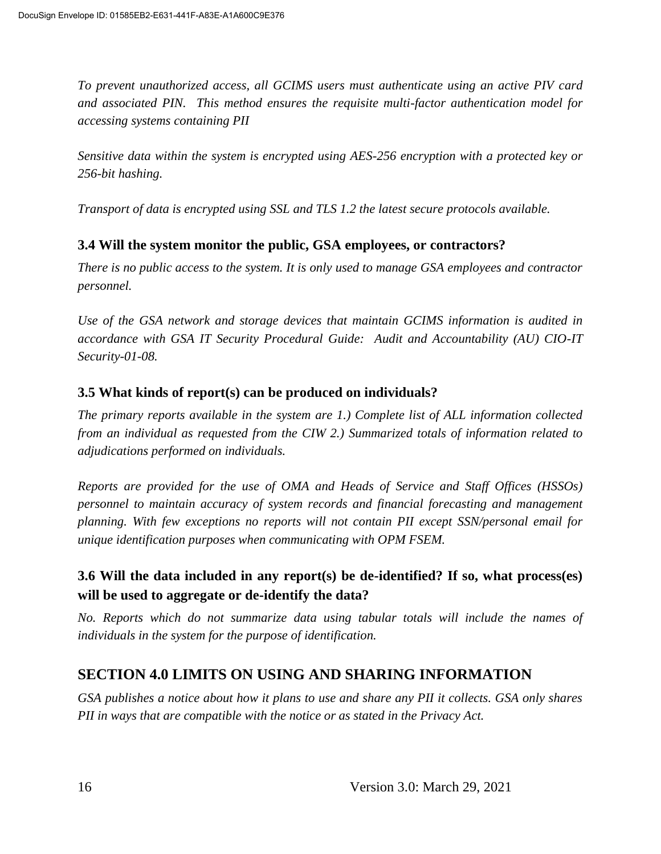*To prevent unauthorized access, all GCIMS users must authenticate using an active PIV card and associated PIN. This method ensures the requisite multi-factor authentication model for accessing systems containing PII*

*Sensitive data within the system is encrypted using AES-256 encryption with a protected key or 256-bit hashing.*

*Transport of data is encrypted using SSL and TLS 1.2 the latest secure protocols available.*

#### **3.4 Will the system monitor the public, GSA employees, or contractors?**

*There is no public access to the system. It is only used to manage GSA employees and contractor personnel.*

*Use of the GSA network and storage devices that maintain GCIMS information is audited in accordance with GSA IT Security Procedural Guide: Audit and Accountability (AU) CIO-IT Security-01-08.*

#### **3.5 What kinds of report(s) can be produced on individuals?**

*The primary reports available in the system are 1.) Complete list of ALL information collected from an individual as requested from the CIW 2.) Summarized totals of information related to adjudications performed on individuals.*

*Reports are provided for the use of OMA and Heads of Service and Staff Offices (HSSOs) personnel to maintain accuracy of system records and financial forecasting and management planning. With few exceptions no reports will not contain PII except SSN/personal email for unique identification purposes when communicating with OPM FSEM.*

#### **3.6 Will the data included in any report(s) be de-identified? If so, what process(es) will be used to aggregate or de-identify the data?**

*No. Reports which do not summarize data using tabular totals will include the names of individuals in the system for the purpose of identification.*

## **SECTION 4.0 LIMITS ON USING AND SHARING INFORMATION**

*GSA publishes a notice about how it plans to use and share any PII it collects. GSA only shares PII in ways that are compatible with the notice or as stated in the Privacy Act.*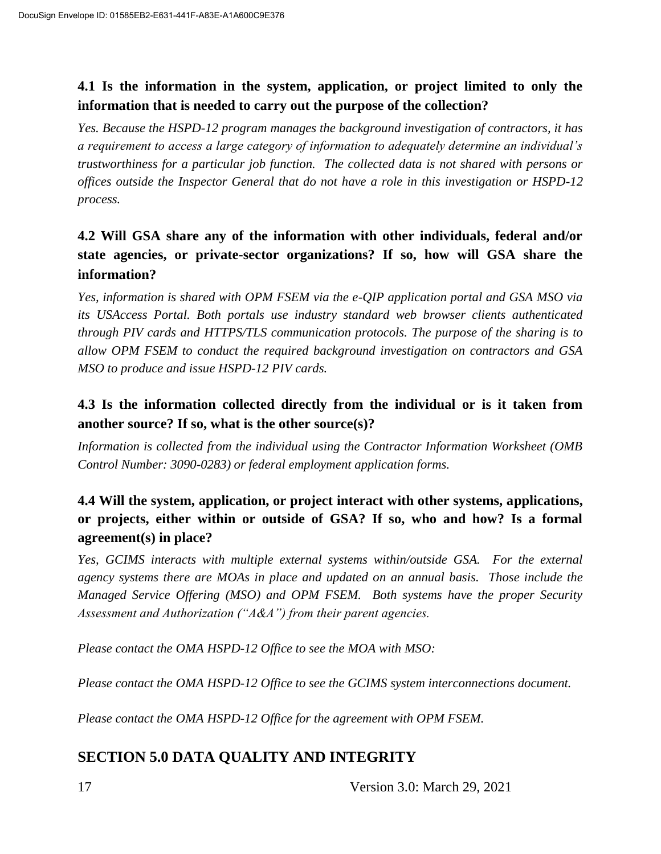### **4.1 Is the information in the system, application, or project limited to only the information that is needed to carry out the purpose of the collection?**

*Yes. Because the HSPD-12 program manages the background investigation of contractors, it has a requirement to access a large category of information to adequately determine an individual's trustworthiness for a particular job function. The collected data is not shared with persons or offices outside the Inspector General that do not have a role in this investigation or HSPD-12 process.*

## **4.2 Will GSA share any of the information with other individuals, federal and/or state agencies, or private-sector organizations? If so, how will GSA share the information?**

*Yes, information is shared with OPM FSEM via the e-QIP application portal and GSA MSO via its USAccess Portal. Both portals use industry standard web browser clients authenticated through PIV cards and HTTPS/TLS communication protocols. The purpose of the sharing is to allow OPM FSEM to conduct the required background investigation on contractors and GSA MSO to produce and issue HSPD-12 PIV cards.*

## **4.3 Is the information collected directly from the individual or is it taken from another source? If so, what is the other source(s)?**

*Information is collected from the individual using the Contractor Information Worksheet (OMB Control Number: 3090-0283) or federal employment application forms.*

### **4.4 Will the system, application, or project interact with other systems, applications, or projects, either within or outside of GSA? If so, who and how? Is a formal agreement(s) in place?**

*Yes, GCIMS interacts with multiple external systems within/outside GSA. For the external agency systems there are MOAs in place and updated on an annual basis. Those include the Managed Service Offering (MSO) and OPM FSEM. Both systems have the proper Security Assessment and Authorization ("A&A") from their parent agencies.*

*Please contact the OMA HSPD-12 Office to see the MOA with MSO:* 

*Please contact the OMA HSPD-12 Office to see the GCIMS system interconnections document.* 

*Please contact the OMA HSPD-12 Office for the agreement with OPM FSEM.*

## **SECTION 5.0 DATA QUALITY AND INTEGRITY**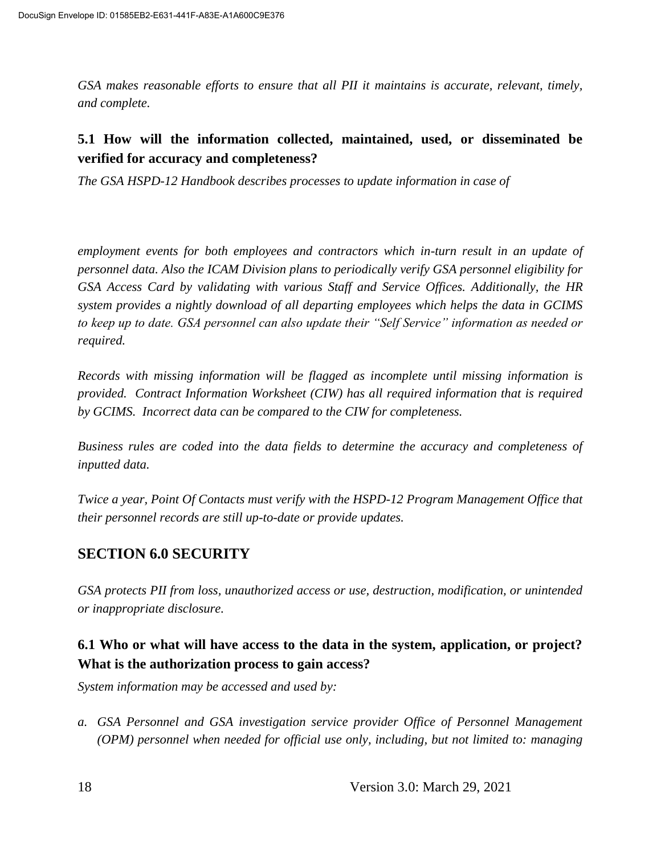*GSA makes reasonable efforts to ensure that all PII it maintains is accurate, relevant, timely, and complete.*

#### **5.1 How will the information collected, maintained, used, or disseminated be verified for accuracy and completeness?**

*The GSA HSPD-12 Handbook describes processes to update information in case of* 

*employment events for both employees and contractors which in-turn result in an update of personnel data. Also the ICAM Division plans to periodically verify GSA personnel eligibility for GSA Access Card by validating with various Staff and Service Offices. Additionally, the HR system provides a nightly download of all departing employees which helps the data in GCIMS to keep up to date. GSA personnel can also update their "Self Service" information as needed or required.*

*Records with missing information will be flagged as incomplete until missing information is provided. Contract Information Worksheet (CIW) has all required information that is required by GCIMS. Incorrect data can be compared to the CIW for completeness.*

*Business rules are coded into the data fields to determine the accuracy and completeness of inputted data.*

*Twice a year, Point Of Contacts must verify with the HSPD-12 Program Management Office that their personnel records are still up-to-date or provide updates.*

## **SECTION 6.0 SECURITY**

*GSA protects PII from loss, unauthorized access or use, destruction, modification, or unintended or inappropriate disclosure.*

## **6.1 Who or what will have access to the data in the system, application, or project? What is the authorization process to gain access?**

*System information may be accessed and used by:*

*a. GSA Personnel and GSA investigation service provider Office of Personnel Management (OPM) personnel when needed for official use only, including, but not limited to: managing*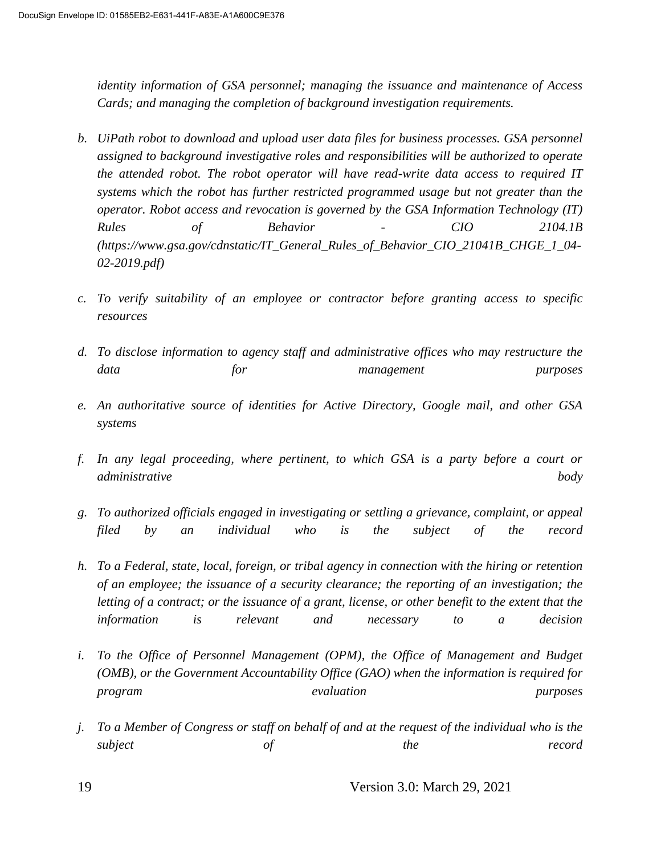*identity information of GSA personnel; managing the issuance and maintenance of Access Cards; and managing the completion of background investigation requirements.*

- *b. UiPath robot to download and upload user data files for business processes. GSA personnel assigned to background investigative roles and responsibilities will be authorized to operate the attended robot. The robot operator will have read-write data access to required IT systems which the robot has further restricted programmed usage but not greater than the operator. Robot access and revocation is governed by the GSA Information Technology (IT) Rules of Behavior - CIO 2104.1B (https://www.gsa.gov/cdnstatic/IT\_General\_Rules\_of\_Behavior\_CIO\_21041B\_CHGE\_1\_04- 02-2019.pdf)*
- *c. To verify suitability of an employee or contractor before granting access to specific resources*
- *d. To disclose information to agency staff and administrative offices who may restructure the data for management purposes*
- *e. An authoritative source of identities for Active Directory, Google mail, and other GSA systems*
- *f. In any legal proceeding, where pertinent, to which GSA is a party before a court or administrative body*
- *g. To authorized officials engaged in investigating or settling a grievance, complaint, or appeal filed by an individual who is the subject of the record*
- *h. To a Federal, state, local, foreign, or tribal agency in connection with the hiring or retention of an employee; the issuance of a security clearance; the reporting of an investigation; the letting of a contract; or the issuance of a grant, license, or other benefit to the extent that the information is relevant and necessary to a decision*
- *i.* To the Office of Personnel Management (OPM), the Office of Management and Budget *(OMB), or the Government Accountability Office (GAO) when the information is required for program evaluation purposes*
- *j. To a Member of Congress or staff on behalf of and at the request of the individual who is the subject of the record*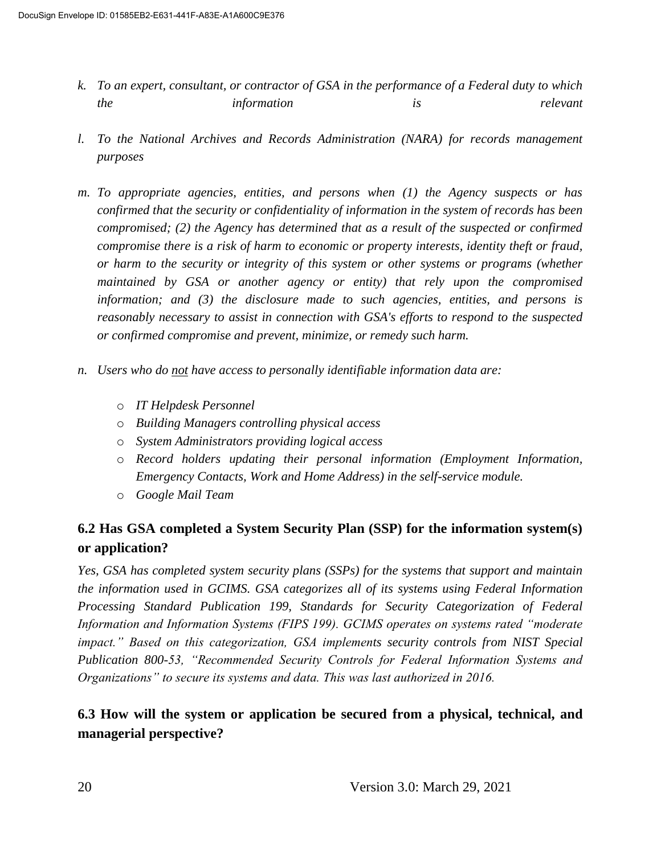- *k. To an expert, consultant, or contractor of GSA in the performance of a Federal duty to which the information is relevant*
- *l. To the National Archives and Records Administration (NARA) for records management purposes*
- *m. To appropriate agencies, entities, and persons when (1) the Agency suspects or has confirmed that the security or confidentiality of information in the system of records has been compromised; (2) the Agency has determined that as a result of the suspected or confirmed compromise there is a risk of harm to economic or property interests, identity theft or fraud, or harm to the security or integrity of this system or other systems or programs (whether maintained by GSA or another agency or entity) that rely upon the compromised information; and (3) the disclosure made to such agencies, entities, and persons is reasonably necessary to assist in connection with GSA's efforts to respond to the suspected or confirmed compromise and prevent, minimize, or remedy such harm.*
- *n. Users who do not have access to personally identifiable information data are:* 
	- o *IT Helpdesk Personnel*
	- o *Building Managers controlling physical access*
	- o *System Administrators providing logical access*
	- o *Record holders updating their personal information (Employment Information, Emergency Contacts, Work and Home Address) in the self-service module.*
	- o *Google Mail Team*

## **6.2 Has GSA completed a System Security Plan (SSP) for the information system(s) or application?**

*Yes, GSA has completed system security plans (SSPs) for the systems that support and maintain the information used in GCIMS. GSA categorizes all of its systems using Federal Information Processing Standard Publication 199, Standards for Security Categorization of Federal Information and Information Systems (FIPS 199). GCIMS operates on systems rated "moderate impact." Based on this categorization, GSA implements security controls from NIST Special Publication 800-53, "Recommended Security Controls for Federal Information Systems and Organizations" to secure its systems and data. This was last authorized in 2016.*

#### **6.3 How will the system or application be secured from a physical, technical, and managerial perspective?**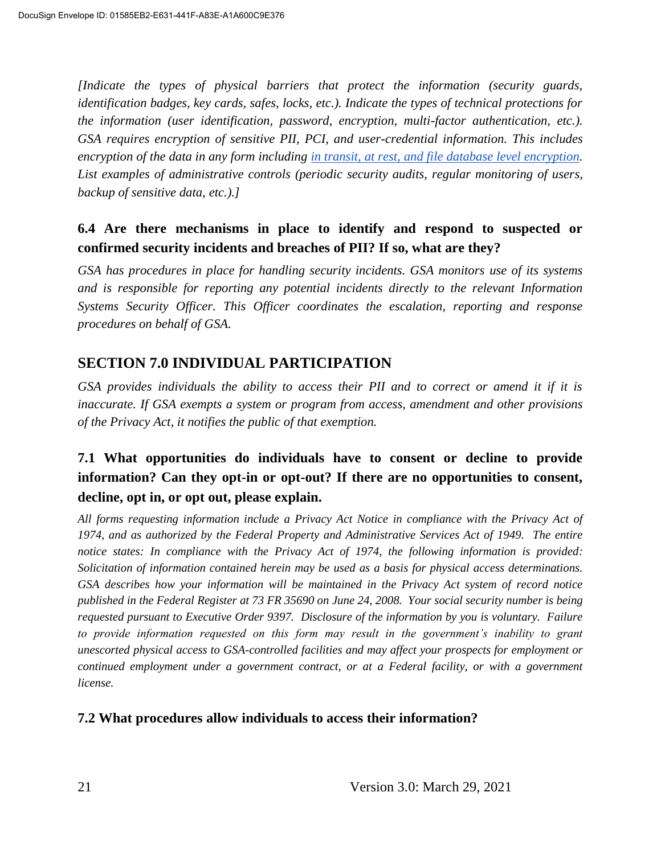*[Indicate the types of physical barriers that protect the information (security guards, identification badges, key cards, safes, locks, etc.). Indicate the types of technical protections for the information (user identification, password, encryption, multi-factor authentication, etc.). GSA requires encryption of sensitive PII, PCI, and user-credential information. This includes encryption of the data in any form including in transit, at rest, and file database level encryption. List examples of administrative controls (periodic security audits, regular monitoring of users, backup of sensitive data, etc.).]*

### **6.4 Are there mechanisms in place to identify and respond to suspected or confirmed security incidents and breaches of PII? If so, what are they?**

*GSA has procedures in place for handling security incidents. GSA monitors use of its systems and is responsible for reporting any potential incidents directly to the relevant Information Systems Security Officer. This Officer coordinates the escalation, reporting and response procedures on behalf of GSA.*

## **SECTION 7.0 INDIVIDUAL PARTICIPATION**

*GSA provides individuals the ability to access their PII and to correct or amend it if it is inaccurate. If GSA exempts a system or program from access, amendment and other provisions of the Privacy Act, it notifies the public of that exemption.*

## **7.1 What opportunities do individuals have to consent or decline to provide information? Can they opt-in or opt-out? If there are no opportunities to consent, decline, opt in, or opt out, please explain.**

*All forms requesting information include a Privacy Act Notice in compliance with the Privacy Act of 1974, and as authorized by the Federal Property and Administrative Services Act of 1949. The entire notice states: In compliance with the Privacy Act of 1974, the following information is provided: Solicitation of information contained herein may be used as a basis for physical access determinations. GSA describes how your information will be maintained in the Privacy Act system of record notice published in the Federal Register at 73 FR 35690 on June 24, 2008. Your social security number is being requested pursuant to Executive Order 9397. Disclosure of the information by you is voluntary. Failure to provide information requested on this form may result in the government's inability to grant unescorted physical access to GSA-controlled facilities and may affect your prospects for employment or continued employment under a government contract, or at a Federal facility, or with a government license.*

#### **7.2 What procedures allow individuals to access their information?**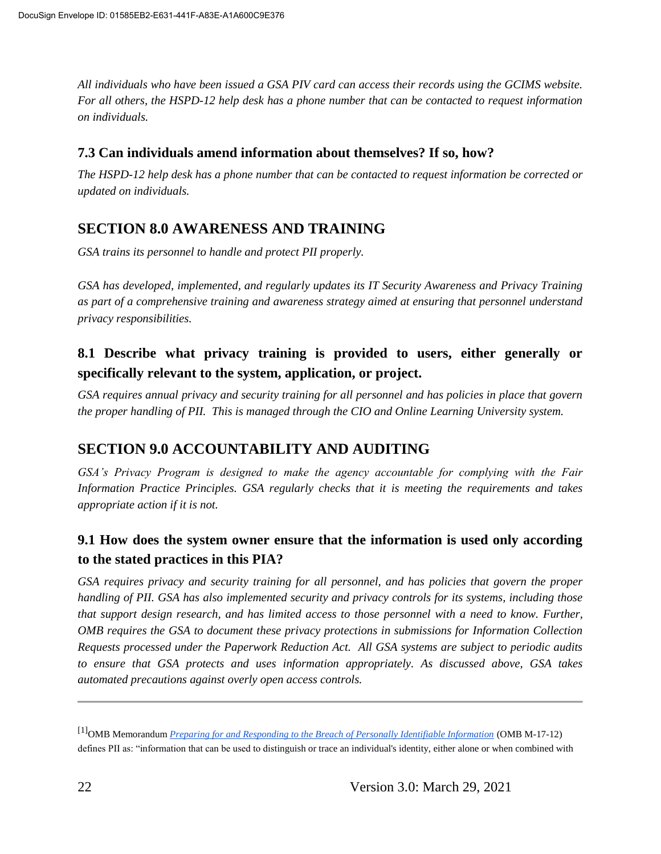*All individuals who have been issued a GSA PIV card can access their records using the GCIMS website. For all others, the HSPD-12 help desk has a phone number that can be contacted to request information on individuals.*

#### **7.3 Can individuals amend information about themselves? If so, how?**

*The HSPD-12 help desk has a phone number that can be contacted to request information be corrected or updated on individuals.*

## **SECTION 8.0 AWARENESS AND TRAINING**

*GSA trains its personnel to handle and protect PII properly.* 

*GSA has developed, implemented, and regularly updates its IT Security Awareness and Privacy Training as part of a comprehensive training and awareness strategy aimed at ensuring that personnel understand privacy responsibilities.*

### **8.1 Describe what privacy training is provided to users, either generally or specifically relevant to the system, application, or project.**

*GSA requires annual privacy and security training for all personnel and has policies in place that govern the proper handling of PII. This is managed through the CIO and Online Learning University system.*

## **SECTION 9.0 ACCOUNTABILITY AND AUDITING**

*GSA's Privacy Program is designed to make the agency accountable for complying with the Fair Information Practice Principles. GSA regularly checks that it is meeting the requirements and takes appropriate action if it is not.*

## **9.1 How does the system owner ensure that the information is used only according to the stated practices in this PIA?**

*GSA requires privacy and security training for all personnel, and has policies that govern the proper handling of PII. GSA has also implemented security and privacy controls for its systems, including those that support design research, and has limited access to those personnel with a need to know. Further, OMB requires the GSA to document these privacy protections in submissions for Information Collection Requests processed under the Paperwork Reduction Act. All GSA systems are subject to periodic audits to ensure that GSA protects and uses information appropriately. As discussed above, GSA takes automated precautions against overly open access controls.*

<sup>[1]</sup>OMB Memorandum *Preparing for and Responding to the Breach of Personally Identifiable Information* (OMB M-17-12) defines PII as: "information that can be used to distinguish or trace an individual's identity, either alone or when combined with